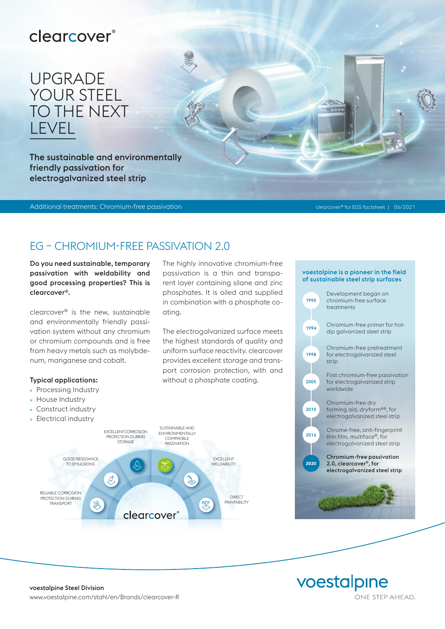## clearcover®

# UPGRADE YOUR STEEL TO THE NEXT LEVEL

The sustainable and environmentally friendly passivation for electrogalvanized steel strip

Additional treatments: Chromium-free passivation clearcover® for EGS factsheet | 06/2021

## EG – CHROMIUM-FREE PASSIVATION 2.0

ating.

The highly innovative chromium-free passivation is a thin and transparent layer containing silane and zinc phosphates. It is oiled and supplied in combination with a phosphate co-

The electrogalvanized surface meets the highest standards of quality and uniform surface reactivity. clearcover provides excellent storage and transport corrosion protection, with and

without a phosphate coating.

Do you need sustainable, temporary passivation with weldability and good processing properties? This is clearcover®.

clearcover® is the new, sustainable and environmentally friendly passivation system without any chromium or chromium compounds and is free from heavy metals such as molybdenum, manganese and cobalt.

#### Typical applications:

- » Processing Industry
- » House Industry
- » Construct industry
- » Electrical industry